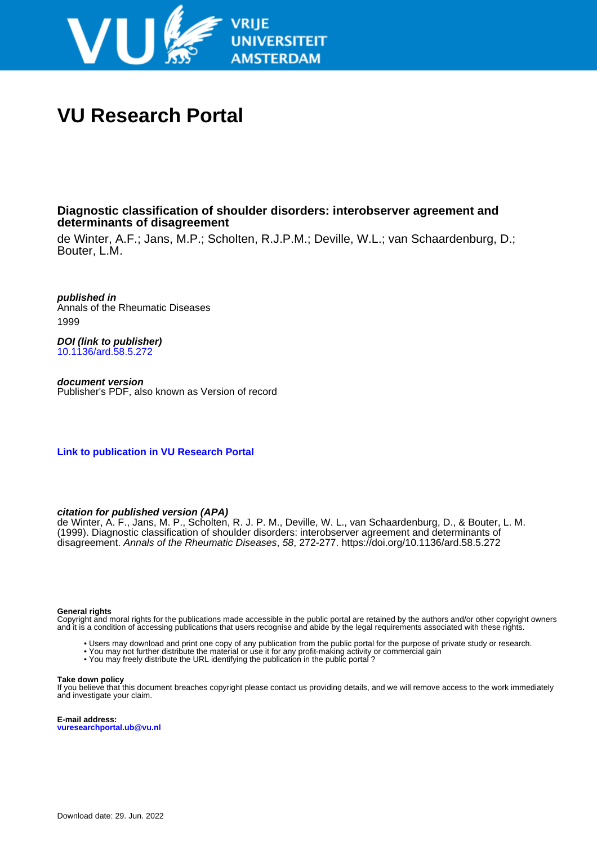

# **VU Research Portal**

## **Diagnostic classification of shoulder disorders: interobserver agreement and determinants of disagreement**

de Winter, A.F.; Jans, M.P.; Scholten, R.J.P.M.; Deville, W.L.; van Schaardenburg, D.; Bouter, L.M.

**published in** Annals of the Rheumatic Diseases 1999

**DOI (link to publisher)** [10.1136/ard.58.5.272](https://doi.org/10.1136/ard.58.5.272)

**document version** Publisher's PDF, also known as Version of record

**[Link to publication in VU Research Portal](https://research.vu.nl/en/publications/64089a25-6025-49c0-8d09-878983faf162)**

## **citation for published version (APA)**

de Winter, A. F., Jans, M. P., Scholten, R. J. P. M., Deville, W. L., van Schaardenburg, D., & Bouter, L. M. (1999). Diagnostic classification of shoulder disorders: interobserver agreement and determinants of disagreement. Annals of the Rheumatic Diseases, 58, 272-277.<https://doi.org/10.1136/ard.58.5.272>

## **General rights**

Copyright and moral rights for the publications made accessible in the public portal are retained by the authors and/or other copyright owners and it is a condition of accessing publications that users recognise and abide by the legal requirements associated with these rights.

- Users may download and print one copy of any publication from the public portal for the purpose of private study or research.
- You may not further distribute the material or use it for any profit-making activity or commercial gain
- You may freely distribute the URL identifying the publication in the public portal ?

## **Take down policy**

If you believe that this document breaches copyright please contact us providing details, and we will remove access to the work immediately and investigate your claim.

**E-mail address: vuresearchportal.ub@vu.nl**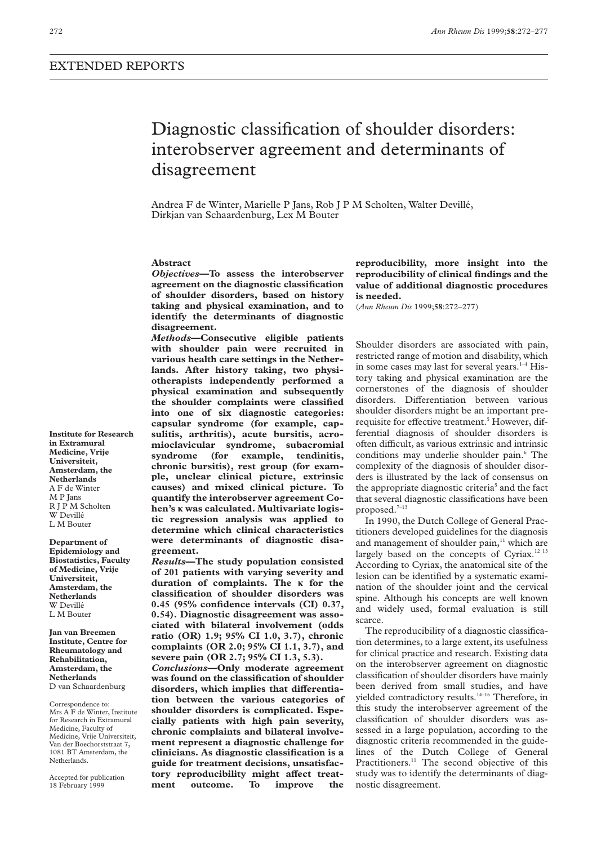## Diagnostic classification of shoulder disorders: interobserver agreement and determinants of disagreement

Andrea F de Winter, Marielle P Jans, Rob J P M Scholten, Walter Devillé, Dirkjan van Schaardenburg, Lex M Bouter

## **Abstract**

*Objectives***—To assess the interobserver agreement on the diagnostic classification of shoulder disorders, based on history taking and physical examination, and to identify the determinants of diagnostic disagreement.**

*Methods***—Consecutive eligible patients with shoulder pain were recruited in various health care settings in the Netherlands. After history taking, two physiotherapists independently performed a physical examination and subsequently the shoulder complaints were classified into one of six diagnostic categories: capsular syndrome (for example, capsulitis, arthritis), acute bursitis, acromioclavicular syndrome, subacromial syndrome (for example, tendinitis, chronic bursitis), rest group (for example, unclear clinical picture, extrinsic causes) and mixed clinical picture. To quantify the interobserver agreement Co**hen's **K** was calculated. Multivariate logis**tic regression analysis was applied to determine which clinical characteristics were determinants of diagnostic disagreement.**

*Results***—The study population consisted of 201 patients with varying severity and** duration of complaints. The  $\kappa$  for the **classification of shoulder disorders was 0.45 (95% confidence intervals (CI) 0.37, 0.54). Diagnostic disagreement was associated with bilateral involvement (odds ratio (OR) 1.9; 95% CI 1.0, 3.7), chronic complaints (OR 2.0; 95% CI 1.1, 3.7), and severe pain (OR 2.7; 95% CI 1.3, 5.3).**

*Conclusions***—Only moderate agreement was found on the classification of shoulder** disorders, which implies that differentia**tion between the various categories of shoulder disorders is complicated. Especially patients with high pain severity, chronic complaints and bilateral involvement represent a diagnostic challenge for clinicians. As diagnostic classification is a guide for treatment decisions, unsatisfac**tory reproducibility might affect treat**ment outcome. To improve the**

**reproducibility, more insight into the reproducibility of clinical findings and the value of additional diagnostic procedures is needed.**

(*Ann Rheum Dis* 1999;**58**:272–277)

Shoulder disorders are associated with pain, restricted range of motion and disability, which in some cases may last for several years. $1-4$  History taking and physical examination are the cornerstones of the diagnosis of shoulder disorders. Differentiation between various shoulder disorders might be an important prerequisite for effective treatment.<sup>5</sup> However, differential diagnosis of shoulder disorders is often difficult, as various extrinsic and intrinsic conditions may underlie shoulder pain.<sup>6</sup> The complexity of the diagnosis of shoulder disorders is illustrated by the lack of consensus on the appropriate diagnostic criteria<sup>5</sup> and the fact that several diagnostic classifications have been proposed.7–13

In 1990, the Dutch College of General Practitioners developed guidelines for the diagnosis and management of shoulder pain, $11$  which are largely based on the concepts of Cyriax.<sup>12 13</sup> According to Cyriax, the anatomical site of the lesion can be identified by a systematic examination of the shoulder joint and the cervical spine. Although his concepts are well known and widely used, formal evaluation is still scarce.

The reproducibility of a diagnostic classification determines, to a large extent, its usefulness for clinical practice and research. Existing data on the interobserver agreement on diagnostic classification of shoulder disorders have mainly been derived from small studies, and have yielded contradictory results.<sup>14-16</sup> Therefore, in this study the interobserver agreement of the classification of shoulder disorders was assessed in a large population, according to the diagnostic criteria recommended in the guidelines of the Dutch College of General Practitioners.<sup>11</sup> The second objective of this study was to identify the determinants of diagnostic disagreement.

**Institute for Research in Extramural Medicine, Vrije Universiteit, Amsterdam, the Netherlands** A F de Winter M P Jans R<sub>JPM</sub> Scholten W Devillé L M Bouter

## **Department of**

**Epidemiology and Biostatistics, Faculty of Medicine, Vrije Universiteit, Amsterdam, the Netherlands** W Devillé L M Bouter

**Jan van Breemen Institute, Centre for Rheumatology and Rehabilitation, Amsterdam, the Netherlands** D van Schaardenburg

Correspondence to: Mrs A F de Winter, Institute for Research in Extramural Medicine, Faculty of Medicine, Vrije Universiteit, Van der Boechorststraat 7, 1081 BT Amsterdam, the Netherlands.

Accepted for publication 18 February 1999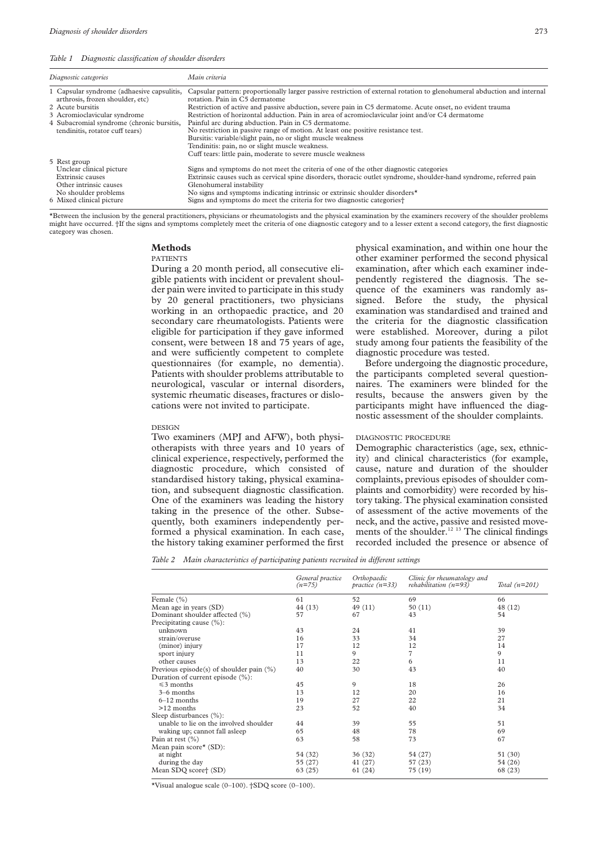| Diagnostic categories                                                          | Main criteria                                                                                                                                             |
|--------------------------------------------------------------------------------|-----------------------------------------------------------------------------------------------------------------------------------------------------------|
| 1 Capsular syndrome (adhaesive capsulitis,<br>arthrosis, frozen shoulder, etc) | Capsular pattern: proportionally larger passive restriction of external rotation to glenohumeral abduction and internal<br>rotation. Pain in C5 dermatome |
| 2 Acute bursitis                                                               | Restriction of active and passive abduction, severe pain in C5 dermatome. Acute onset, no evident trauma                                                  |
| 3 Acromioclavicular syndrome                                                   | Restriction of horizontal adduction. Pain in area of acromioclavicular joint and/or C4 dermatome                                                          |
| 4 Subacromial syndrome (chronic bursitis,                                      | Painful arc during abduction. Pain in C5 dermatome.                                                                                                       |
| tendinitis, rotator cuff tears)                                                | No restriction in passive range of motion. At least one positive resistance test.                                                                         |
|                                                                                | Bursitis: variable/slight pain, no or slight muscle weakness                                                                                              |
|                                                                                | Tendinitis: pain, no or slight muscle weakness.                                                                                                           |
|                                                                                | Cuff tears: little pain, moderate to severe muscle weakness                                                                                               |
| 5 Rest group                                                                   |                                                                                                                                                           |
| Unclear clinical picture                                                       | Signs and symptoms do not meet the criteria of one of the other diagnostic categories                                                                     |
| Extrinsic causes                                                               | Extrinsic causes such as cervical spine disorders, thoracic outlet syndrome, shoulder-hand syndrome, referred pain                                        |
| Other intrinsic causes                                                         | Glenohumeral instability                                                                                                                                  |
| No shoulder problems                                                           | No signs and symptoms indicating intrinsic or extrinsic shoulder disorders*                                                                               |
| 6 Mixed clinical picture                                                       | Signs and symptoms do meet the criteria for two diagnostic categories                                                                                     |

\*Between the inclusion by the general practitioners, physicians or rheumatologists and the physical examination by the examiners recovery of the shoulder problems might have occurred. †If the signs and symptoms completely meet the criteria of one diagnostic category and to a lesser extent a second category, the first diagnostic category was chosen.

## **Methods**

## PATIENTS

During a 20 month period, all consecutive eligible patients with incident or prevalent shoulder pain were invited to participate in this study by 20 general practitioners, two physicians working in an orthopaedic practice, and 20 secondary care rheumatologists. Patients were eligible for participation if they gave informed consent, were between 18 and 75 years of age, and were sufficiently competent to complete questionnaires (for example, no dementia). Patients with shoulder problems attributable to neurological, vascular or internal disorders, systemic rheumatic diseases, fractures or dislocations were not invited to participate.

#### DESIGN

Two examiners (MPJ and AFW), both physiotherapists with three years and 10 years of clinical experience, respectively, performed the diagnostic procedure, which consisted of standardised history taking, physical examination, and subsequent diagnostic classification. One of the examiners was leading the history taking in the presence of the other. Subsequently, both examiners independently performed a physical examination. In each case, the history taking examiner performed the first

physical examination, and within one hour the other examiner performed the second physical examination, after which each examiner independently registered the diagnosis. The sequence of the examiners was randomly assigned. Before the study, the physical examination was standardised and trained and the criteria for the diagnostic classification were established. Moreover, during a pilot study among four patients the feasibility of the diagnostic procedure was tested.

Before undergoing the diagnostic procedure, the participants completed several questionnaires. The examiners were blinded for the results, because the answers given by the participants might have influenced the diagnostic assessment of the shoulder complaints.

### DIAGNOSTIC PROCEDURE

Demographic characteristics (age, sex, ethnicity) and clinical characteristics (for example, cause, nature and duration of the shoulder complaints, previous episodes of shoulder complaints and comorbidity) were recorded by history taking. The physical examination consisted of assessment of the active movements of the neck, and the active, passive and resisted movements of the shoulder.<sup>12 13</sup> The clinical findings recorded included the presence or absence of

*Table 2 Main characteristics of participating patients recruited in different settings* 

|                                             | General practice<br>$(n=75)$ | Orthopaedic<br>practice $(n=33)$ | Clinic for rheumatology and<br>$rehabilitation$ ( $n=93$ ) | Total $(n=201)$ |
|---------------------------------------------|------------------------------|----------------------------------|------------------------------------------------------------|-----------------|
| Female (%)                                  | 61                           | 52                               | 69                                                         | 66              |
| Mean age in years (SD)                      | 44 (13)                      | 49(11)                           | 50(11)                                                     | 48 (12)         |
| Dominant shoulder affected (%)              | 57                           | 67                               | 43                                                         | 54              |
| Precipitating cause (%):                    |                              |                                  |                                                            |                 |
| unknown                                     | 43                           | 24                               | 41                                                         | 39              |
| strain/overuse                              | 16                           | 33                               | 34                                                         | 27              |
| (minor) injury                              | 17                           | 12                               | 12                                                         | 14              |
| sport injury                                | 11                           | 9                                | 7                                                          | 9               |
| other causes                                | 13                           | 22                               | 6                                                          | 11              |
| Previous episode(s) of shoulder pain $(\%)$ | 40                           | 30                               | 43                                                         | 40              |
| Duration of current episode (%):            |                              |                                  |                                                            |                 |
| $\leq$ 3 months                             | 45                           | 9                                | 18                                                         | 26              |
| $3-6$ months                                | 13                           | 12                               | 20                                                         | 16              |
| $6-12$ months                               | 19                           | 27                               | 22                                                         | 21              |
| $>12$ months                                | 23                           | 52                               | 40                                                         | 34              |
| Sleep disturbances (%):                     |                              |                                  |                                                            |                 |
| unable to lie on the involved shoulder      | 44                           | 39                               | 55                                                         | 51              |
| waking up; cannot fall asleep               | 65                           | 48                               | 78                                                         | 69              |
| Pain at rest $(\% )$                        | 63                           | 58                               | 73                                                         | 67              |
| Mean pain score* $(SD)$ :                   |                              |                                  |                                                            |                 |
| at night                                    | 54 (32)                      | 36 (32)                          | 54 (27)                                                    | 51 (30)         |
| during the day                              | 55 (27)                      | 41 (27)                          | 57 (23)                                                    | 54 (26)         |
| Mean SDQ score† (SD)                        | 63(25)                       | 61 (24)                          | 75(19)                                                     | 68 (23)         |

\*Visual analogue scale (0–100). †SDQ score (0–100).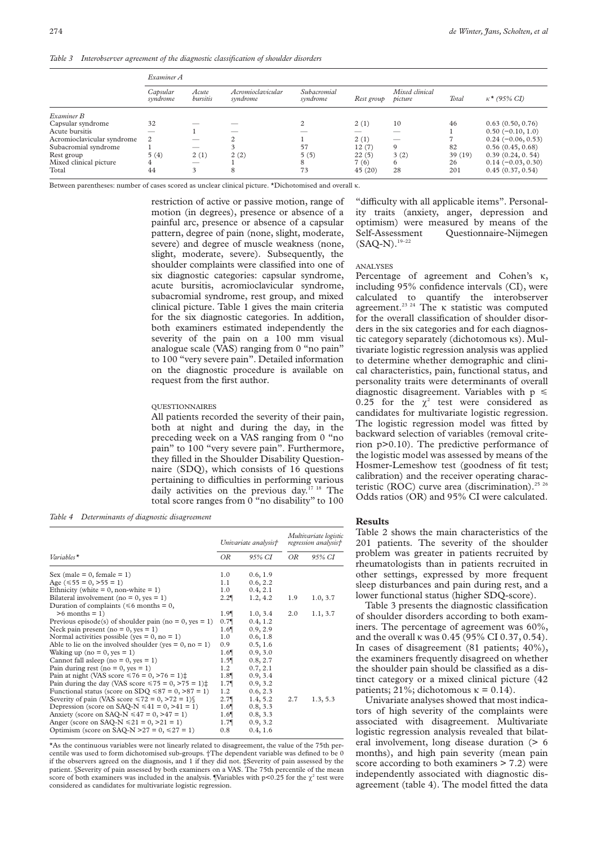|  | Table 3 Interobserver agreement of the diagnostic classification of shoulder disorders |  |  |  |  |  |  |  |  |  |
|--|----------------------------------------------------------------------------------------|--|--|--|--|--|--|--|--|--|
|--|----------------------------------------------------------------------------------------|--|--|--|--|--|--|--|--|--|

|                            | Examiner A           |                   |                               |                         |            |                           |        |                     |  |
|----------------------------|----------------------|-------------------|-------------------------------|-------------------------|------------|---------------------------|--------|---------------------|--|
|                            | Capsular<br>syndrome | Acute<br>bursitis | Acromioclavicular<br>syndrome | Subacromial<br>syndrome | Rest group | Mixed clinical<br>picture | Total  | $\kappa$ * (95% CI) |  |
| Examiner B                 |                      |                   |                               |                         |            |                           |        |                     |  |
| Capsular syndrome          | 32                   |                   |                               | ◠                       | 2(1)       | 10                        | 46     | 0.63(0.50, 0.76)    |  |
| Acute bursitis             |                      |                   |                               |                         | –          |                           |        | $0.50(-0.10, 1.0)$  |  |
| Acromioclavicular syndrome | 2                    |                   |                               |                         | 2(1)       |                           |        | $0.24(-0.06, 0.53)$ |  |
| Subacromial syndrome       |                      |                   |                               | 57                      | 12(7)      | 9                         | 82     | 0.56(0.45, 0.68)    |  |
| Rest group                 | 5(4)                 | 2(1)              | 2(2)                          | 5(5)                    | 22(5)      | 3(2)                      | 39(19) | 0.39(0.24, 0.54)    |  |
| Mixed clinical picture     |                      |                   |                               | 8                       | 7(6)       | 6                         | 26     | $0.14(-0.03, 0.30)$ |  |
| Total                      | 44                   | 3                 | 8                             | 73                      | 45 (20)    | 28                        | 201    | 0.45(0.37, 0.54)    |  |

Between parentheses: number of cases scored as unclear clinical picture. \*Dichotomised and overall  $\kappa$ .

restriction of active or passive motion, range of motion (in degrees), presence or absence of a painful arc, presence or absence of a capsular pattern, degree of pain (none, slight, moderate, severe) and degree of muscle weakness (none, slight, moderate, severe). Subsequently, the shoulder complaints were classified into one of six diagnostic categories: capsular syndrome, acute bursitis, acromioclavicular syndrome, subacromial syndrome, rest group, and mixed clinical picture. Table 1 gives the main criteria for the six diagnostic categories. In addition, both examiners estimated independently the severity of the pain on a 100 mm visual analogue scale (VAS) ranging from 0 "no pain" to 100 "very severe pain". Detailed information on the diagnostic procedure is available on request from the first author.

### **OUESTIONNAIRES**

All patients recorded the severity of their pain, both at night and during the day, in the preceding week on a VAS ranging from 0 "no pain" to 100 "very severe pain". Furthermore, they filled in the Shoulder Disability Questionnaire (SDQ), which consists of 16 questions pertaining to difficulties in performing various daily activities on the previous day.<sup>17 18</sup> The total score ranges from 0 "no disability" to 100

*Table 4 Determinants of diagnostic disagreement*

|                                                                  | Univariate analysis† |          |     | Multivariate logistic<br>regression analysis† |  |  |
|------------------------------------------------------------------|----------------------|----------|-----|-----------------------------------------------|--|--|
| Variables*                                                       | OR                   | 95% CI   | OR  | 95% CI                                        |  |  |
| Sex (male = $0$ , female = $1$ )                                 | 1.0                  | 0.6, 1.9 |     |                                               |  |  |
| Age $(\le 55 = 0, >55 = 1)$                                      | 1.1                  | 0.6, 2.2 |     |                                               |  |  |
| Ethnicity (white $= 0$ , non-white $= 1$ )                       | 1.0                  | 0.4, 2.1 |     |                                               |  |  |
| Bilateral involvement ( $no = 0$ , $ves = 1$ )                   | 2.2                  | 1.2, 4.2 | 1.9 | 1.0, 3.7                                      |  |  |
| Duration of complaints ( $\leq 6$ months = 0,                    |                      |          |     |                                               |  |  |
| $>6$ months = 1)                                                 | 1.9                  | 1.0, 3.4 | 2.0 | 1.1, 3.7                                      |  |  |
| Previous episode(s) of shoulder pain (no = 0, yes = 1)           | $0.7\P$              | 0.4, 1.2 |     |                                               |  |  |
| Neck pain present (no = $0$ , yes = 1)                           | 1.6                  | 0.9, 2.9 |     |                                               |  |  |
| Normal activities possible (yes = $0$ , no = 1)                  | 1.0                  | 0.6, 1.8 |     |                                               |  |  |
| Able to lie on the involved shoulder (yes $= 0$ , no $= 1$ )     | 0.9 <sup>°</sup>     | 0.5, 1.6 |     |                                               |  |  |
| Waking up (no = $0$ , yes = 1)                                   | 1.6                  | 0.9, 3.0 |     |                                               |  |  |
| Cannot fall asleep ( $no = 0$ , $yes = 1$ )                      | 1.5                  | 0.8, 2.7 |     |                                               |  |  |
| Pain during rest (no = $0$ , yes = 1)                            | 1.2                  | 0.7, 2.1 |     |                                               |  |  |
| Pain at night (VAS score $\leq 76 = 0,$ >76 = 1) $\pm$           | 1.8                  | 0.9, 3.4 |     |                                               |  |  |
| Pain during the day (VAS score $\le 75 = 0,$ >75 = 1) $\ddagger$ | 1.7                  | 0.9, 3.2 |     |                                               |  |  |
| Functional status (score on SDQ $\leq 87 = 0, >87 = 1$ )         | 1.2                  | 0.6, 2.3 |     |                                               |  |  |
| Severity of pain (VAS score $\leq 72 = 0,$ >72 = 1)              | 2.7                  | 1.4, 5.2 | 2.7 | 1.3, 5.3                                      |  |  |
| Depression (score on SAQ-N $\leq 41 = 0, > 41 = 1$ )             | 1.6                  | 0.8, 3.3 |     |                                               |  |  |
| Anxiety (score on SAQ-N $\leq 47 = 0, >47 = 1$ )                 | 1.6                  | 0.8, 3.3 |     |                                               |  |  |
| Anger (score on SAQ-N $\leq 21 = 0, >21 = 1$ )                   | 1.7                  | 0.9, 3.2 |     |                                               |  |  |
| Optimism (score on SAQ-N > $27 = 0, \le 27 = 1$ )                | 0.8                  | 0.4, 1.6 |     |                                               |  |  |

\*As the continuous variables were not linearly related to disagreement, the value of the 75th percentile was used to form dichotomised sub-groups. †The dependent variable was defined to be 0 if the observers agreed on the diagnosis, and 1 if they did not. ‡Severity of pain assessed by the patient. §Severity of pain assessed by both examiners on a VAS. The 75th percentile of the mean score of both examiners was included in the analysis. Wariables with p<0.25 for the  $\gamma^2$  test were considered as candidates for multivariate logistic regression.

"difficulty with all applicable items". Personality traits (anxiety, anger, depression and optimism) were measured by means of the Self-Assessment Questionnaire-Nijmegen (SAQ-N).19–22

#### ANALYSES

Percentage of agreement and Cohen's  $\kappa$ , including 95% confidence intervals (CI), were calculated to quantify the interobserver agreement.<sup>23 24</sup> The  $\kappa$  statistic was computed for the overall classification of shoulder disorders in the six categories and for each diagnostic category separately (dichotomous  $\kappa s$ ). Multivariate logistic regression analysis was applied to determine whether demographic and clinical characteristics, pain, functional status, and personality traits were determinants of overall diagnostic disagreement. Variables with  $p \leq$ 0.25 for the  $\chi^2$  test were considered as candidates for multivariate logistic regression. The logistic regression model was fitted by backward selection of variables (removal criterion p>0.10). The predictive performance of the logistic model was assessed by means of the Hosmer-Lemeshow test (goodness of fit test; calibration) and the receiver operating characteristic (ROC) curve area (discrimination).<sup>25</sup> <sup>26</sup> Odds ratios (OR) and 95% CI were calculated.

## **Results**

Table 2 shows the main characteristics of the 201 patients. The severity of the shoulder problem was greater in patients recruited by rheumatologists than in patients recruited in other settings, expressed by more frequent sleep disturbances and pain during rest, and a lower functional status (higher SDQ-score).

Table 3 presents the diagnostic classification of shoulder disorders according to both examiners. The percentage of agreement was 60%, and the overall  $\kappa$  was 0.45 (95% CI 0.37, 0.54). In cases of disagreement (81 patients; 40%), the examiners frequently disagreed on whether the shoulder pain should be classified as a distinct category or a mixed clinical picture (42 patients; 21%; dichotomous  $\kappa = 0.14$ ).

Univariate analyses showed that most indicators of high severity of the complaints were associated with disagreement. Multivariate logistic regression analysis revealed that bilateral involvement, long disease duration (> 6 months), and high pain severity (mean pain score according to both examiners  $> 7.2$ ) were independently associated with diagnostic disagreement (table 4). The model fitted the data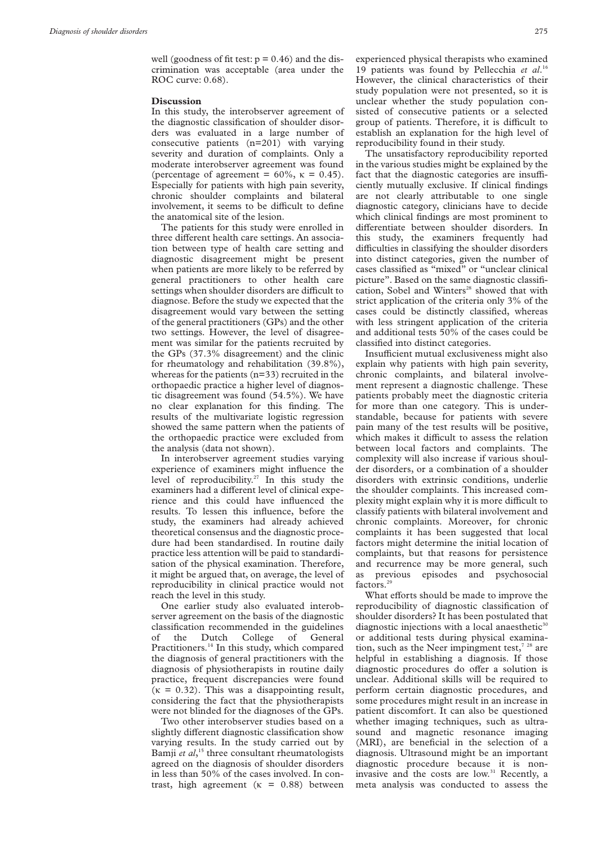well (goodness of fit test:  $p = 0.46$ ) and the discrimination was acceptable (area under the ROC curve: 0.68).

## **Discussion**

In this study, the interobserver agreement of the diagnostic classification of shoulder disorders was evaluated in a large number of consecutive patients (n=201) with varying severity and duration of complaints. Only a moderate interobserver agreement was found (percentage of agreement =  $60\%$ ,  $\kappa$  = 0.45). Especially for patients with high pain severity, chronic shoulder complaints and bilateral involvement, it seems to be difficult to define the anatomical site of the lesion.

The patients for this study were enrolled in three different health care settings. An association between type of health care setting and diagnostic disagreement might be present when patients are more likely to be referred by general practitioners to other health care settings when shoulder disorders are difficult to diagnose. Before the study we expected that the disagreement would vary between the setting of the general practitioners (GPs) and the other two settings. However, the level of disagreement was similar for the patients recruited by the GPs (37.3% disagreement) and the clinic for rheumatology and rehabilitation (39.8%), whereas for the patients (n=33) recruited in the orthopaedic practice a higher level of diagnostic disagreement was found (54.5%). We have no clear explanation for this finding. The results of the multivariate logistic regression showed the same pattern when the patients of the orthopaedic practice were excluded from the analysis (data not shown).

In interobserver agreement studies varying experience of examiners might influence the level of reproducibility.<sup>27</sup> In this study the examiners had a different level of clinical experience and this could have influenced the results. To lessen this influence, before the study, the examiners had already achieved theoretical consensus and the diagnostic procedure had been standardised. In routine daily practice less attention will be paid to standardisation of the physical examination. Therefore, it might be argued that, on average, the level of reproducibility in clinical practice would not reach the level in this study.

One earlier study also evaluated interobserver agreement on the basis of the diagnostic classification recommended in the guidelines of the Dutch College of General Practitioners.<sup>14</sup> In this study, which compared the diagnosis of general practitioners with the diagnosis of physiotherapists in routine daily practice, frequent discrepancies were found  $(\kappa = 0.32)$ . This was a disappointing result, considering the fact that the physiotherapists were not blinded for the diagnoses of the GPs.

Two other interobserver studies based on a slightly different diagnostic classification show varying results. In the study carried out by Bamji et al,<sup>15</sup> three consultant rheumatologists agreed on the diagnosis of shoulder disorders in less than 50% of the cases involved. In contrast, high agreement ( $\kappa$  = 0.88) between

experienced physical therapists who examined 19 patients was found by Pellecchia *et al*. 16 However, the clinical characteristics of their study population were not presented, so it is unclear whether the study population consisted of consecutive patients or a selected group of patients. Therefore, it is difficult to establish an explanation for the high level of reproducibility found in their study.

The unsatisfactory reproducibility reported in the various studies might be explained by the fact that the diagnostic categories are insufficiently mutually exclusive. If clinical findings are not clearly attributable to one single diagnostic category, clinicians have to decide which clinical findings are most prominent to differentiate between shoulder disorders. In this study, the examiners frequently had difficulties in classifying the shoulder disorders into distinct categories, given the number of cases classified as "mixed" or "unclear clinical picture". Based on the same diagnostic classification, Sobel and Winters<sup>28</sup> showed that with strict application of the criteria only 3% of the cases could be distinctly classified, whereas with less stringent application of the criteria and additional tests 50% of the cases could be classified into distinct categories.

Insufficient mutual exclusiveness might also explain why patients with high pain severity, chronic complaints, and bilateral involvement represent a diagnostic challenge. These patients probably meet the diagnostic criteria for more than one category. This is understandable, because for patients with severe pain many of the test results will be positive, which makes it difficult to assess the relation between local factors and complaints. The complexity will also increase if various shoulder disorders, or a combination of a shoulder disorders with extrinsic conditions, underlie the shoulder complaints. This increased complexity might explain why it is more difficult to classify patients with bilateral involvement and chronic complaints. Moreover, for chronic complaints it has been suggested that local factors might determine the initial location of complaints, but that reasons for persistence and recurrence may be more general, such as previous episodes and psychosocial factors.<sup>29</sup>

What efforts should be made to improve the reproducibility of diagnostic classification of shoulder disorders? It has been postulated that diagnostic injections with a local anaesthetic<sup>30</sup> or additional tests during physical examination, such as the Neer impingment test, $7^{28}$  are helpful in establishing a diagnosis. If those diagnostic procedures do offer a solution is unclear. Additional skills will be required to perform certain diagnostic procedures, and some procedures might result in an increase in patient discomfort. It can also be questioned whether imaging techniques, such as ultrasound and magnetic resonance imaging (MRI), are beneficial in the selection of a diagnosis. Ultrasound might be an important diagnostic procedure because it is noninvasive and the costs are low.<sup>31</sup> Recently, a meta analysis was conducted to assess the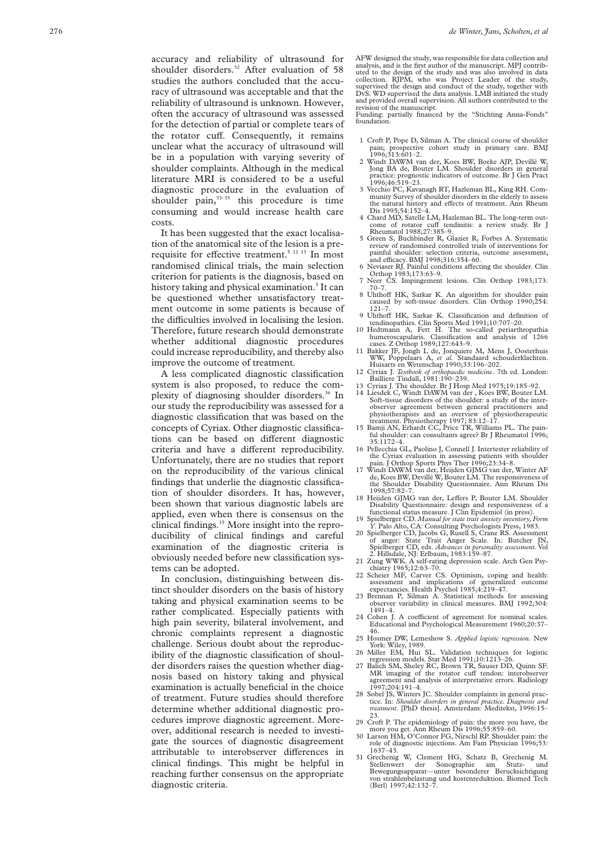accuracy and reliability [of ultrasou](http://ard.bmj.com)nd for shoulder disorders.<sup>32</sup> After evaluation of 58 studies the authors concluded that the accuracy of ultrasound was acceptable and that the reliability of ultrasound is unknown. However, often the accuracy of ultrasound was assessed for the detection of partial or complete tears of the rotator cuff. Consequently, it remains unclear what the accuracy of ultrasound will be in a population with varying severity of shoulder complaints. Although in the medical literature MRI is considered to be a useful diagnostic procedure in the evaluation of shoulder  $\text{pain}$ ,  $33-35$  this procedure is time consuming and would increase health care costs.

It has been suggested that the exact localisation of the anatomical site of the lesion is a prerequisite for effective treatment.<sup>5 12 13</sup> In most randomised clinical trials, the main selection criterion for patients is the diagnosis, based on history taking and physical examination.<sup>5</sup> It can be questioned whether unsatisfactory treatment outcome in some patients is because of the difficulties involved in localising the lesion. Therefore, future research should demonstrate whether additional diagnostic procedures could increase reproducibility, and thereby also improve the outcome of treatment.

A less complicated diagnostic classification system is also proposed, to reduce the complexity of diagnosing shoulder disorders.<sup>36</sup> In our study the reproducibility was assessed for a diagnostic classification that was based on the concepts of Cyriax. Other diagnostic classifications can be based on different diagnostic criteria and have a different reproducibility. Unfortunately, there are no studies that report on the reproducibility of the various clinical findings that underlie the diagnostic classification of shoulder disorders. It has, however, been shown that various diagnostic labels are applied, even when there is consensus on the clinical findings.<sup>15</sup> More insight into the reproducibility of clinical findings and careful examination of the diagnostic criteria is obviously needed before new classification systems can be adopted.

In conclusion, distinguishing between distinct shoulder disorders on the basis of history taking and physical examination seems to be rather complicated. Especially patients with high pain severity, bilateral involvement, and chronic complaints represent a diagnostic challenge. Serious doubt about the reproducibility of the diagnostic classification of shoulder disorders raises the question whether diagnosis based on history taking and physical examination is actually beneficial in the choice of treatment. Future studies should therefore determine whether additional diagnostic procedures improve diagnostic agreement. Moreover, additional research is needed to investigate the sources of diagnostic disagreement attributable to interobserver differences in clinical findings. This might be helpful in reaching further consensus on the appropriate diagnostic criteria.

AFW designed the study, was responsible for data collection and analysis, and is the first author of the manuscript. MPJ contributed to the design of the study and was also involved in data collection. RJPM, who was Project Leader of the study, supervised the design and conduct of the study, together with DvS. WD supervised the data analysis. LMB initiated the study and provided overall supervision. All authors contributed to the revision of the manuscript.

Funding: partially financed by the "Stichting Anna-Fonds" foundation.

- 1 Croft P, Pope D, Silman A. The clinical course of shoulder pain; prospective cohort study in primary care. BMJ 1996;313:601–2.
- 2 Windt DAWM van der, Koes BW, Boeke AJP, Devillé W, Jong BA de, Bouter LM. Shoulder disorders in general practice: prognostic indicators of outcome. Br J Gen Pract 1996;46:519–23.
- 3 Vecchio PC, Kavanagh RT, Hazleman BL, King RH. Community Survey of shoulder disorders in the elderly to assess the natural history and effects of treatment. Ann Rheum Dis  $1995.54.152 - 4$
- 4 Chard MD, Satelle LM, Hazleman BL. The long-term outcome of rotator cuff tendinitis: a review study. Br J<br>Rheumatol 1988;27:385–9.
- 5 Green S, Buchbinder R, Glazier R, Forbes A. Systematic review of randomised controlled trials of interventions for painful shoulder: selection criteria, outcome assessment, and efficacy. BMJ 1998;316:354–60.
- 6 Neviaser RJ. Painful conditions affecting the shoulder. Clin Orthop 1983;173:63–9. 7 Neer CS. Impingement lesions. Clin Orthop 1983;173:
- 70–7.
- 8 Uhthoff HK, Sarkar K. An algorithm for shoulder pain caused by soft-tissue disorders. Clin Orthop 1990;254:  $121 - 7$
- 9 Uhthoff HK, Sarkar K. Classification and definition of tendinopathies. Clin Sports Med 1991;10:707–20.
- 10 Hedtmann A, Fett H. The so-called periarthropathia humeroscapularis. Classification and analysis of 1266 cases. Z Orthop 1989;127:643–9.
- 11 Bakker JF, Jongh L de, Jonquiere M, Mens J, Oosterhuis WW, Poppelaars A, *et al.* Standaard schouderklachten. Huisarts en Wetenschap 1990;33:196–202.
- 12 Cyriax J. *Textbook of orthopaedic medicine.* 7th ed. London: Bailliere Tindall, 1981:190–239.
- 13 Cyriax J. The shoulder. Br J Hosp Med 1975;19:185–92.
- 14 Liesdek C, Windt DAWM van der , Koes BW, Bouter LM. Soft-tissue disorders of the shoulder: a study of the interobserver agreement between general practitioners and physiotherapists and an overview of physiotherapeutic
- treatment. Physiotherapy 1997; 83:12–17. 15 Bamji AN, Erhardt CC, Price TR, Williams PL. The painful shoulder: can consultants agree? Br J Rheumatol 1996; 35:1172–4.
- 16 Pellecchia GL, Paolino J, Connell J. Intertester reliability of the Cyriax evaluation in assessing patients with shoulder
- pain. J Orthop Sports Phys Ther 1996;23:34–8. 17 Windt DAWM van der, Heijden GJMG van der, Winter AF de, Koes BW, Devillé W, Bouter LM. The responsiveness of the Shoulder Disability Questionnaire. Ann Rheum Dis 1998;57:82–7.
- 18 Heijden GJMG van der, Leffers P, Bouter LM. Shoulder Disability Questionnaire: design and responsiveness of a
- functional status measure. J Clin Epidemiol (in press). 19 Spielberger CD. *Manual for state trait anxiety inventory, Form Y*. Palo Alto, CA: Consulting Psychologists Press, 1983.
- 20 Spielberger CD, Jacobs G, Rusell S, Crane RS. Assessment of anger: State Trait Anger Scale. In: Butcher JN, Spielberger CD, eds. *Advances in personality assessment.* Vol
- 2. Hillsdale, NJ: Erlbaum, 1983:159–87. 21 Zung WWK. A self-rating depression scale. Arch Gen Psychiatry 1965;12:63–70.
- 22 Scheier MF, Carver CS. Optimism, coping and health: assessment and implications of generalized outcome expectancies. Health Psychol 1985;4:219–47. 23 Brennan P, Silman A. Statistical methods for assessing
- observer variability in clinical measures. BMJ 1992;304: 1491–4.
- 24 Cohen J. A coefficient of agreement for nominal scales. Educational and Psychological Measurement 1960;20:37– 46.
- 25 Hosmer DW, Lemeshow S. *Applied logistic regression.* New York: Wiley, 1989. 26 Miller EM, Hui SL. Validation techniques for logistic
- regression models. Stat Med 1991;10:1213–26.
- 27 Balich SM, Sheley RC, Brown TR, Sauser DD, Quinn SF.<br>MR imaging of the rotator cuff tendon: interobserver agreement and analysis of interpretative errors. Radiology 1997;204:191–4.
- 28 Sobel JS, Winters JC. Shoulder complaints in general practice. In: *Shoulder disorders in general practice. Diagnosis and treatment*. [PhD thesis]. Amsterdam: Meditekst, 1996:15–
- 23. 29 Croft P. The epidemiology of pain: the more you have, the more you get. Ann Rheum Dis 1996;55:859–60. 30 Larson HM, O'Connor FG, Nirschl RP. Shoulder pain: the
- role of diagnostic injections. Am Fam Physician 1996;53: 1637–43.
- 31 Grechenig W, Clement HG, Schatz B, Grechenig M. Stellenwert der Sonographie am Stutz- und Bewegungsapparat—unter besonderer Berucksichtigung von strahlenbelastung und kostenreduktion. Biomed Tech (Berl) 1997;42:132–7.